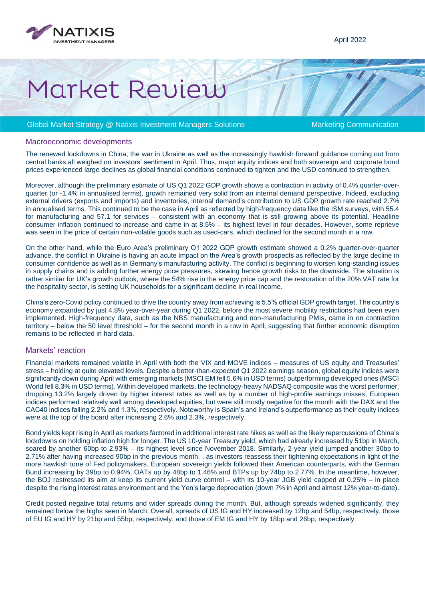

# Market Review

### Global Market Strategy @ Natixis Investment Managers Solutions Marketing Communication

#### Macroeconomic developments

The renewed lockdowns in China, the war in Ukraine as well as the increasingly hawkish forward guidance coming out from central banks all weighed on investors' sentiment in April. Thus, major equity indices and both sovereign and corporate bond prices experienced large declines as global financial conditions continued to tighten and the USD continued to strengthen.

Moreover, although the preliminary estimate of US Q1 2022 GDP growth shows a contraction in activity of 0.4% quarter-overquarter (or -1.4% in annualised terms), growth remained very solid from an internal demand perspective. Indeed, excluding external drivers (exports and imports) and inventories, internal demand's contribution to US GDP growth rate reached 2.7% in annualised terms. This continued to be the case in April as reflected by high-frequency data like the ISM surveys, with 55.4 for manufacturing and 57.1 for services – consistent with an economy that is still growing above its potential. Headline consumer inflation continued to increase and came in at 8.5% – its highest level in four decades. However, some reprieve was seen in the price of certain non-volatile goods such as used-cars, which declined for the second month in a row.

On the other hand, while the Euro Area's preliminary Q1 2022 GDP growth estimate showed a 0.2% quarter-over-quarter advance, the conflict in Ukraine is having an acute impact on the Area's growth prospects as reflected by the large decline in consumer confidence as well as in Germany's manufacturing activity. The conflict is beginning to worsen long-standing issues in supply chains and is adding further energy price pressures, skewing hence growth risks to the downside. The situation is rather similar for UK's growth outlook, where the 54% rise in the energy price cap and the restoration of the 20% VAT rate for the hospitality sector, is setting UK households for a significant decline in real income.

China's zero-Covid policy continued to drive the country away from achieving is 5.5% official GDP growth target. The country's economy expanded by just 4.8% year-over-year during Q1 2022, before the most severe mobility restrictions had been even implemented. High-frequency data, such as the NBS manufacturing and non-manufacturing PMIs, came in on contraction territory – below the 50 level threshold – for the second month in a row in April, suggesting that further economic disruption remains to be reflected in hard data.

### Markets' reaction

Financial markets remained volatile in April with both the VIX and MOVE indices – measures of US equity and Treasuries' stress – holding at quite elevated levels. Despite a better-than-expected Q1 2022 earnings season, global equity indices were significantly down during April with emerging markets (MSCI EM fell 5.6% in USD terms) outperforming developed ones (MSCI World fell 8.3% in USD terms). Within developed markets, the technology-heavy NADSAQ composite was the worst performer, dropping 13.2% largely driven by higher interest rates as well as by a number of high-profile earnings misses, European indices performed relatively well among developed equities, but were still mostly negative for the month with the DAX and the CAC40 indices falling 2.2% and 1.3%, respectively. Noteworthy is Spain's and Ireland's outperformance as their equity indices were at the top of the board after increasing 2.6% and 2.3%, respectively.

Bond yields kept rising in April as markets factored in additional interest rate hikes as well as the likely repercussions of China's lockdowns on holding inflation high for longer. The US 10-year Treasury yield, which had already increased by 51bp in March, soared by another 60bp to 2.93% – its highest level since November 2018. Similarly, 2-year yield jumped another 30bp to 2.71% after having increased 90bp in the previous month. , as investors reassess their tightening expectations in light of the more hawkish tone of Fed policymakers. European sovereign yields followed their American counterparts, with the German Bund increasing by 39bp to 0.94%, OATs up by 48bp to 1.46% and BTPs up by 74bp to 2.77%. In the meantime, however, the BOJ restressed its aim at keep its current yield curve control – with its 10-year JGB yield capped at 0.25% – in place despite the rising interest rates environment and the Yen's large depreciation (down 7% in April and almost 12% year-to-date).

Credit posted negative total returns and wider spreads during the month. But, although spreads widened significantly, they remained below the highs seen in March. Overall, spreads of US IG and HY increased by 12bp and 54bp, respectively, those of EU IG and HY by 21bp and 55bp, respectively, and those of EM IG and HY by 18bp and 26bp, respectively.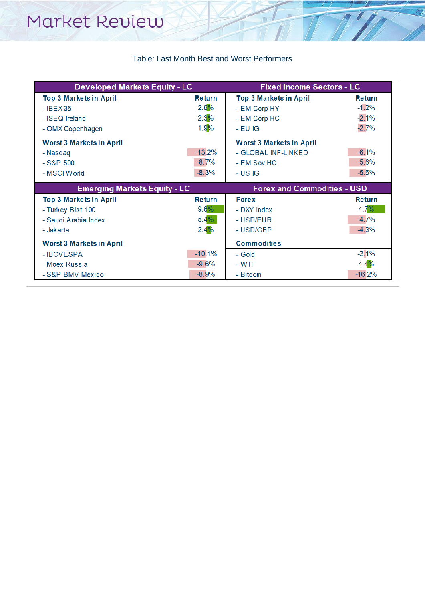## Table: Last Month Best and Worst Performers

 $\overline{T}$ 

| <b>Developed Markets Equity - LC</b> |               | <b>Fixed Income Sectors - LC</b>   |               |
|--------------------------------------|---------------|------------------------------------|---------------|
| <b>Top 3 Markets in April</b>        | <b>Return</b> | <b>Top 3 Markets in April</b>      | <b>Return</b> |
| - IBEX 35                            | 2.6%          | - EM Corp HY                       | $-1.2%$       |
| - ISEQ Ireland                       | 2.3%          | - EM Corp HC                       | $-2.1%$       |
| - OMX Copenhagen                     | 1.9%          | $-EUIG$                            | $-2.7%$       |
| <b>Worst 3 Markets in April</b>      |               | <b>Worst 3 Markets in April</b>    |               |
| - Nasdaq                             | $-13.2%$      | - GLOBAL INF-LINKED                | $-6.1%$       |
| $-S&P500$                            | $-8.7%$       | - EM Sov HC                        | $-5.6%$       |
| - MSCI World                         | $-8.3%$       | - US IG                            | $-5.5%$       |
| <b>Emerging Markets Equity - LC</b>  |               | <b>Forex and Commodities - USD</b> |               |
| <b>Top 3 Markets in April</b>        | <b>Return</b> | <b>Fore x</b>                      | <b>Return</b> |
| - Turkey Bist 100                    | $9.6\%$       | - DXY Index                        | 4.7%          |
| - Saudi Arabia Index                 | $5.4\%$       | - USD/EUR                          | $-4.7%$       |
| - Jakarta                            | 2.4%          | - USD/GBP                          | $-4.3%$       |
| <b>Worst 3 Markets in April</b>      |               | <b>Commodities</b>                 |               |
| - IBOVESPA                           | $-10.1%$      | - Gold                             | $-2.1%$       |
| - Moex Russia                        | $-9.6%$       | - WTI                              | 4.4%          |
| - S&P BMV Mexico                     | $-8.9%$       | - Bitcoin                          | $-16.2%$      |